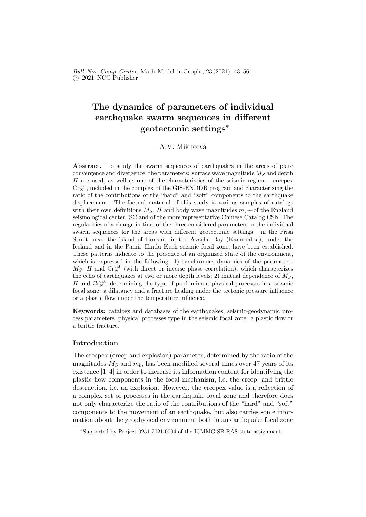Bull. Nov. Comp. Center, Math. Model. in Geoph., 23 (2021), 43–56 c 2021 NCC Publisher

# The dynamics of parameters of individual earthquake swarm sequences in different geotectonic settings<sup>∗</sup>

## A.V. Mikheeva

Abstract. To study the swarm sequences of earthquakes in the areas of plate convergence and divergence, the parameters: surface wave magnitude  $M<sub>S</sub>$  and depth H are used, as well as one of the characteristics of the seismic regime –– creepex  $\mathrm{Cr}_N^{\mathrm{cat}}$ , included in the complex of the GIS-ENDDB program and characterizing the ratio of the contributions of the "hard" and "soft" components to the earthquake displacement. The factual material of this study is various samples of catalogs with their own definitions  $M_S$ , H and body wave magnitudes  $m_b$  – of the England seismological center ISC and of the more representative Chinese Catalog CSN. The regularities of a change in time of the three considered parameters in the individual swarm sequences for the areas with different geotectonic settings  $-$  in the Frisa Strait, near the island of Honshu, in the Avacha Bay (Kamchatka), under the Iceland and in the Pamir–Hindu Kush seismic focal zone, have been established. These patterns indicate to the presence of an organized state of the environment, which is expressed in the following: 1) synchronous dynamics of the parameters  $M_S$ , H and  $Cr_N^{\text{cat}}$  (with direct or inverse phase correlation), which characterizes the echo of earthquakes at two or more depth levels; 2) mutual dependence of  $M<sub>S</sub>$ ,  $H$  and  $\mathrm{Cr}_N^{\mathrm{cat}}$ , determining the type of predominant physical processes in a seismic focal zone: a dilatancy and a fracture healing under the tectonic pressure influence or a plastic flow under the temperature influence.

Keywords: catalogs and databases of the earthquakes, seismic-geodynamic process parameters, physical processes type in the seismic focal zone: a plastic flow or a brittle fracture.

### Introduction

The creepex (creep and explosion) parameter, determined by the ratio of the magnitudes  $M<sub>S</sub>$  and  $m<sub>b</sub>$ , has been modified several times over 47 years of its existence [1–4] in order to increase its information content for identifying the plastic flow components in the focal mechanism, i.e. the creep, and brittle destruction, i.e. an explosion. However, the creepex value is a reflection of a complex set of processes in the earthquake focal zone and therefore does not only characterize the ratio of the contributions of the "hard" and "soft" components to the movement of an earthquake, but also carries some information about the geophysical environment both in an earthquake focal zone

<sup>∗</sup>Supported by Project 0251-2021-0004 of the ICMMG SB RAS state assignment.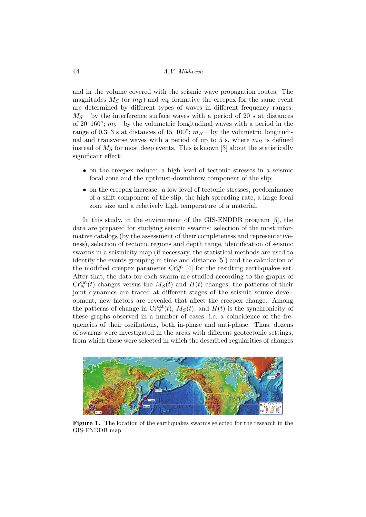and in the volume covered with the seismic wave propagation routes. The magnitudes  $M_S$  (or  $m_B$ ) and  $m_b$  formative the creepex for the same event are determined by different types of waves in different frequency ranges:  $M_S$  – by the interference surface waves with a period of 20 s at distances of 20–160 $\degree$ ;  $m_b$  – by the volumetric longitudinal waves with a period in the range of 0.3–3 s at distances of 15–100°;  $m_B$ — by the volumetric longitudinal and transverse waves with a period of up to 5 s, where  $m_B$  is defined instead of  $M<sub>S</sub>$  for most deep events. This is known [3] about the statistically significant effect:

- on the creepex reduce: a high level of tectonic stresses in a seismic focal zone and the upthrust-downthrow component of the slip;
- on the creepex increase: a low level of tectonic stresses, predominance of a shift component of the slip, the high spreading rate, a large focal zone size and a relatively high temperature of a material.

In this study, in the environment of the GIS-ENDDB program [5], the data are prepared for studying seismic swarms: selection of the most informative catalogs (by the assessment of their completeness and representativeness), selection of tectonic regions and depth range, identification of seismic swarms in a seismicity map (if necessary, the statistical methods are used to identify the events grouping in time and distance [5]) and the calculation of the modified creepex parameter  $\mathrm{Cr}_N^{\mathrm{cat}}$  [4] for the resulting earthquakes set. After that, the data for each swarm are studied according to the graphs of  $Cr_N^{\text{cat}}(t)$  changes versus the  $M_S(t)$  and  $H(t)$  changes; the patterns of their joint dynamics are traced at different stages of the seismic source development, new factors are revealed that affect the creepex change. Among the patterns of change in  $\mathrm{Cr}_N^{\mathrm{cat}}(t)$ ,  $M_S(t)$ , and  $H(t)$  is the synchronicity of these graphs observed in a number of cases, i.e. a coincidence of the frequencies of their oscillations, both in-phase and anti-phase. Thus, dozens of swarms were investigated in the areas with different geotectonic settings, from which those were selected in which the described regularities of changes



Figure 1. The location of the earthquakes swarms selected for the research in the GIS-ENDDB map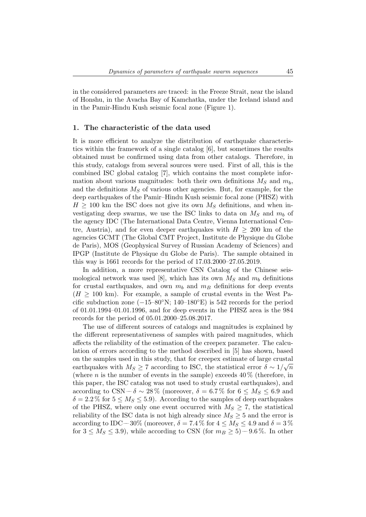in the considered parameters are traced: in the Freeze Strait, near the island of Honshu, in the Avacha Bay of Kamchatka, under the Iceland island and in the Pamir-Hindu Kush seismic focal zone (Figure 1).

#### 1. The characteristic of the data used

It is more efficient to analyze the distribution of earthquake characteristics within the framework of a single catalog [6], but sometimes the results obtained must be confirmed using data from other catalogs. Therefore, in this study, catalogs from several sources were used. First of all, this is the combined ISC global catalog [7], which contains the most complete information about various magnitudes: both their own definitions  $M_S$  and  $m_b$ , and the definitions  $M<sub>S</sub>$  of various other agencies. But, for example, for the deep earthquakes of the Pamir–Hindu Kush seismic focal zone (PHSZ) with  $H \geq 100$  km the ISC does not give its own  $M<sub>S</sub>$  definitions, and when investigating deep swarms, we use the ISC links to data on  $M<sub>S</sub>$  and  $m<sub>b</sub>$  of the agency IDC (The International Data Centre, Vienna International Centre, Austria), and for even deeper earthquakes with  $H \geq 200$  km of the agencies GCMT (The Global CMT Project, Institute de Physique du Globe de Paris), MOS (Geophysical Survey of Russian Academy of Sciences) and IPGP (Institute de Physique du Globe de Paris). The sample obtained in this way is 1661 records for the period of 17.03.2000–27.05.2019.

In addition, a more representative CSN Catalog of the Chinese seismological network was used [8], which has its own  $M<sub>S</sub>$  and  $m<sub>b</sub>$  definitions for crustal earthquakes, and own  $m_b$  and  $m_B$  definitions for deep events  $(H \geq 100 \text{ km})$ . For example, a sample of crustal events in the West Pacific subduction zone  $(-15-80°N; 140-180°E)$  is 542 records for the period of 01.01.1994–01.01.1996, and for deep events in the PHSZ area is the 984 records for the period of 05.01.2000–25.08.2017.

The use of different sources of catalogs and magnitudes is explained by the different representativeness of samples with paired magnitudes, which affects the reliability of the estimation of the creepex parameter. The calculation of errors according to the method described in [5] has shown, based on the samples used in this study, that for creepex estimate of large crustal earthquakes with  $M_S \geq 7$  according to ISC, the statistical error  $\delta \sim 1/\sqrt{n}$ (where n is the number of events in the sample) exceeds  $40\%$  (therefore, in this paper, the ISC catalog was not used to study crustal earthquakes), and according to CSN ––  $\delta \sim 28\%$  (moreover,  $\delta = 6.7\%$  for  $6 \leq M_S \leq 6.9$  and  $\delta = 2.2\%$  for  $5 \leq M_s \leq 5.9$ ). According to the samples of deep earthquakes of the PHSZ, where only one event occurred with  $M_S \geq 7$ , the statistical reliability of the ISC data is not high already since  $M_S \geq 5$  and the error is according to IDC –– 30% (moreover,  $\delta = 7.4$ % for  $4 \leq M_S \leq 4.9$  and  $\delta = 3$ % for  $3 \leq M_S \leq 3.9$ , while according to CSN (for  $m_B \geq 5$ ) – 9.6%. In other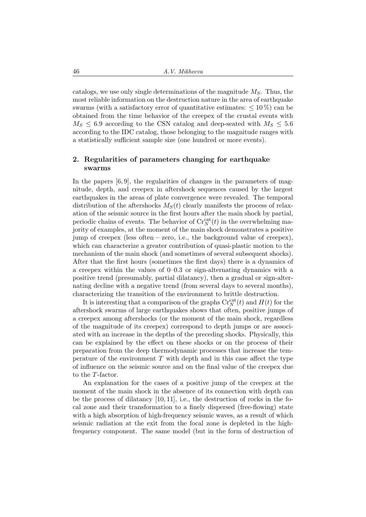catalogs, we use only single determinations of the magnitude  $M<sub>S</sub>$ . Thus, the most reliable information on the destruction nature in the area of earthquake swarms (with a satisfactory error of quantitative estimates:  $\leq 10\%$ ) can be obtained from the time behavior of the creepex of the crustal events with  $M_S \leq 6.9$  according to the CSN catalog and deep-seated with  $M_S \leq 5.6$ according to the IDC catalog, those belonging to the magnitude ranges with a statistically sufficient sample size (one hundred or more events).

## 2. Regularities of parameters changing for earthquake swarms

In the papers  $[6, 9]$ , the regularities of changes in the parameters of magnitude, depth, and creepex in aftershock sequences caused by the largest earthquakes in the areas of plate convergence were revealed. The temporal distribution of the aftershocks  $M_S(t)$  clearly manifests the process of relaxation of the seismic source in the first hours after the main shock by partial, periodic chains of events. The behavior of  $\mathrm{Cr}_N^{\mathrm{cat}}(t)$  in the overwhelming majority of examples, at the moment of the main shock demonstrates a positive jump of creepex (less often –– zero, i.e., the background value of creepex), which can characterize a greater contribution of quasi-plastic motion to the mechanism of the main shock (and sometimes of several subsequent shocks). After that the first hours (sometimes the first days) there is a dynamics of a creepex within the values of 0–0.3 or sign-alternating dynamics with a positive trend (presumably, partial dilatancy), then a gradual or sign-alternating decline with a negative trend (from several days to several months), characterizing the transition of the environment to brittle destruction.

It is interesting that a comparison of the graphs  $\mathrm{Cr}_N^{\mathrm{cat}}(t)$  and  $H(t)$  for the aftershock swarms of large earthquakes shows that often, positive jumps of a creepex among aftershocks (or the moment of the main shock, regardless of the magnitude of its creepex) correspond to depth jumps or are associated with an increase in the depths of the preceding shocks. Physically, this can be explained by the effect on these shocks or on the process of their preparation from the deep thermodynamic processes that increase the temperature of the environment  $T$  with depth and in this case affect the type of influence on the seismic source and on the final value of the creepex due to the T-factor.

An explanation for the cases of a positive jump of the creepex at the moment of the main shock in the absence of its connection with depth can be the process of dilatancy  $[10, 11]$ , i.e., the destruction of rocks in the focal zone and their transformation to a finely dispersed (free-flowing) state with a high absorption of high-frequency seismic waves, as a result of which seismic radiation at the exit from the focal zone is depleted in the highfrequency component. The same model (but in the form of destruction of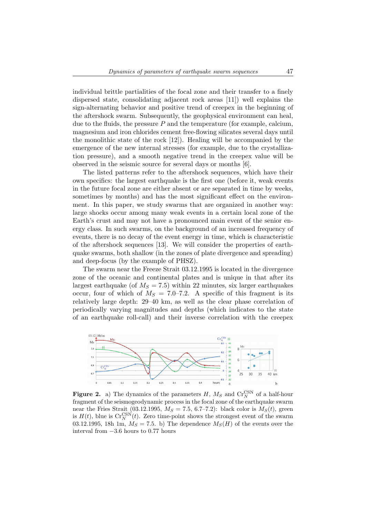individual brittle partialities of the focal zone and their transfer to a finely dispersed state, consolidating adjacent rock areas [11]) well explains the sign-alternating behavior and positive trend of creepex in the beginning of the aftershock swarm. Subsequently, the geophysical environment can heal, due to the fluids, the pressure  $P$  and the temperature (for example, calcium, magnesium and iron chlorides cement free-flowing silicates several days until the monolithic state of the rock [12]). Healing will be accompanied by the emergence of the new internal stresses (for example, due to the crystallization pressure), and a smooth negative trend in the creepex value will be observed in the seismic source for several days or months [6].

The listed patterns refer to the aftershock sequences, which have their own specifics: the largest earthquake is the first one (before it, weak events in the future focal zone are either absent or are separated in time by weeks, sometimes by months) and has the most significant effect on the environment. In this paper, we study swarms that are organized in another way: large shocks occur among many weak events in a certain local zone of the Earth's crust and may not have a pronounced main event of the senior energy class. In such swarms, on the background of an increased frequency of events, there is no decay of the event energy in time, which is characteristic of the aftershock sequences [13]. We will consider the properties of earthquake swarms, both shallow (in the zones of plate divergence and spreading) and deep-focus (by the example of PHSZ).

The swarm near the Freeze Strait 03.12.1995 is located in the divergence zone of the oceanic and continental plates and is unique in that after its largest earthquake (of  $M<sub>S</sub> = 7.5$ ) within 22 minutes, six larger earthquakes occur, four of which of  $M<sub>S</sub> = 7.0–7.2$ . A specific of this fragment is its relatively large depth: 29–40 km, as well as the clear phase correlation of periodically varying magnitudes and depths (which indicates to the state of an earthquake roll-call) and their inverse correlation with the creepex



**Figure 2.** a) The dynamics of the parameters  $H$ ,  $M_S$  and  $Cr_N^{\text{CSN}}$  of a half-hour fragment of the seismogeodynamic process in the focal zone of the earthquake swarm near the Fries Strait (03.12.1995,  $M_S = 7.5$ , 6.7–7.2): black color is  $M_S(t)$ , green is  $H(t)$ , blue is  $\mathrm{Cr}_N^{\mathrm{CNN}}(t)$ . Zero time-point shows the strongest event of the swarm 03.12.1995, 18h 1m,  $M_S = 7.5$ . b) The dependence  $M_S(H)$  of the events over the interval from −3.6 hours to 0.77 hours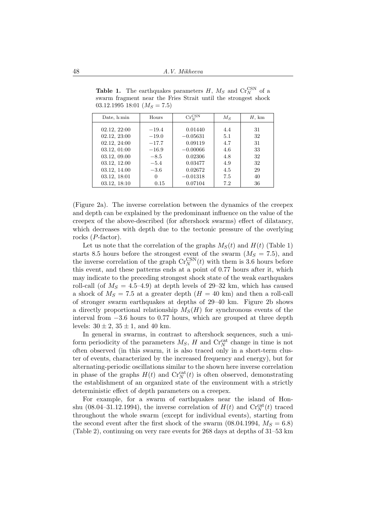Date, h:min Hours  $\Big|\qquad \text{Gr}_{N}^{\text{CSN}}\Big|$  $M_S$   $H,$  km 02.12, 22:00  $-19.4$  0.01440  $4.4$  31  $02.12, 23:00$   $-19.0$   $-0.05631$   $5.1$   $32$ 02.12, 24:00  $-17.7$  0.09119 4.7 31 03.12, 01:00  $-16.9$   $-0.00066$   $4.6$  33 03.12, 09.00  $-8.5$  0.02306 4.8 32 03.12, 12.00  $-5.4$  0.03477  $4.9$  32 03.12, 14.00  $-3.6$  0.02672 4.5 29 03.12, 18:01 0 −0.01318 7.5 40 03.12, 18:10 | 0.15 | 0.07104 | 7.2 | 36

**Table 1.** The earthquakes parameters  $H$ ,  $M_S$  and  $Cr_N^{\text{CSN}}$  of a swarm fragment near the Fries Strait until the strongest shock  $03.12.1995\ 18:01\ (M<sub>S</sub>=7.5)$ 

(Figure 2a). The inverse correlation between the dynamics of the creepex and depth can be explained by the predominant influence on the value of the creepex of the above-described (for aftershock swarms) effect of dilatancy, which decreases with depth due to the tectonic pressure of the overlying rocks (P-factor).

Let us note that the correlation of the graphs  $M<sub>S</sub>(t)$  and  $H(t)$  (Table 1) starts 8.5 hours before the strongest event of the swarm  $(M<sub>S</sub> = 7.5)$ , and the inverse correlation of the graph  $\mathrm{Cr}_N^{\mathrm{CSN}}(t)$  with them is 3.6 hours before this event, and these patterns ends at a point of 0.77 hours after it, which may indicate to the preceding strongest shock state of the weak earthquakes roll-call (of  $M<sub>S</sub> = 4.5-4.9$ ) at depth levels of 29-32 km, which has caused a shock of  $M_S = 7.5$  at a greater depth  $(H = 40 \text{ km})$  and then a roll-call of stronger swarm earthquakes at depths of 29–40 km. Figure 2b shows a directly proportional relationship  $M_S(H)$  for synchronous events of the interval from −3.6 hours to 0.77 hours, which are grouped at three depth levels:  $30 \pm 2$ ,  $35 \pm 1$ , and 40 km.

In general in swarms, in contrast to aftershock sequences, such a uniform periodicity of the parameters  $M_S$ , H and  $\mathrm{Cr}_N^{\mathrm{cat}}$  change in time is not often observed (in this swarm, it is also traced only in a short-term cluster of events, characterized by the increased frequency and energy), but for alternating-periodic oscillations similar to the shown here inverse correlation in phase of the graphs  $H(t)$  and  $\text{Cr}_{N}^{\text{cat}}(t)$  is often observed, demonstrating the establishment of an organized state of the environment with a strictly deterministic effect of depth parameters on a creepex.

For example, for a swarm of earthquakes near the island of Honshu (08.04–31.12.1994), the inverse correlation of  $H(t)$  and  $\mathrm{Cr}_N^{\mathrm{cat}}(t)$  traced throughout the whole swarm (except for individual events), starting from the second event after the first shock of the swarm  $(08.04.1994, M<sub>S</sub> = 6.8)$ (Table 2), continuing on very rare events for 268 days at depths of 31–53 km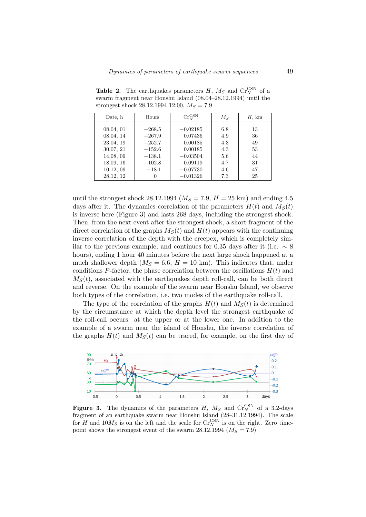| Date, h   | Hours       | $\mathrm{Cr}_N^{\mathrm{CSN}}$ | $M_{S}$ | H, km |
|-----------|-------------|--------------------------------|---------|-------|
| 08.04, 01 | $^{-268.5}$ | $-0.02185$                     | 6.8     | 13    |
| 08.04, 14 | $-267.9$    | 0.07436                        | 4.9     | 36    |
| 23.04, 19 | $-252.7$    | 0.00185                        | 4.3     | 49    |
| 30.07, 21 | $-152.6$    | 0.00185                        | 4.3     | 53    |
| 14.08, 09 | $-138.1$    | $-0.03504$                     | 5.6     | 44    |
| 18.09, 16 | $-102.8$    | 0.09119                        | 4.7     | 31    |
| 10.12,09  | $-18.1$     | $-0.07730$                     | 4.6     | 47    |
| 28.12, 12 |             | $-0.01326$                     | 7.3     | 25    |

**Table 2.** The earthquakes parameters  $H$ ,  $M_S$  and  $Cr_N^{\text{CSN}}$  of a swarm fragment near Honshu Island (08.04–28.12.1994) until the strongest shock 28.12.1994 12:00,  $M_s = 7.9$ 

until the strongest shock 28.12.1994 ( $M_S = 7.9$ ,  $H = 25$  km) and ending 4.5 days after it. The dynamics correlation of the parameters  $H(t)$  and  $M<sub>S</sub>(t)$ is inverse here (Figure 3) and lasts 268 days, including the strongest shock. Then, from the next event after the strongest shock, a short fragment of the direct correlation of the graphs  $M<sub>S</sub>(t)$  and  $H(t)$  appears with the continuing inverse correlation of the depth with the creepex, which is completely similar to the previous example, and continues for 0.35 days after it (i.e.  $\sim 8$ hours), ending 1 hour 40 minutes before the next large shock happened at a much shallower depth  $(M<sub>S</sub> = 6.6, H = 10$  km). This indicates that, under conditions P-factor, the phase correlation between the oscillations  $H(t)$  and  $M<sub>S</sub>(t)$ , associated with the earthquakes depth roll-call, can be both direct and reverse. On the example of the swarm near Honshu Island, we observe both types of the correlation, i.e. two modes of the earthquake roll-call.

The type of the correlation of the graphs  $H(t)$  and  $M<sub>S</sub>(t)$  is determined by the circumstance at which the depth level the strongest earthquake of the roll-call occurs: at the upper or at the lower one. In addition to the example of a swarm near the island of Honshu, the inverse correlation of the graphs  $H(t)$  and  $M<sub>S</sub>(t)$  can be traced, for example, on the first day of



**Figure 3.** The dynamics of the parameters H,  $M_S$  and  $Cr_N^{\text{CSN}}$  of a 3.2-days fragment of an earthquake swarm near Honshu Island (28–31.12.1994). The scale for H and  $10M_S$  is on the left and the scale for  $\mathrm{Cr}_N^{\mathrm{CSN}}$  is on the right. Zero timepoint shows the strongest event of the swarm 28.12.1994 ( $M<sub>S</sub> = 7.9$ )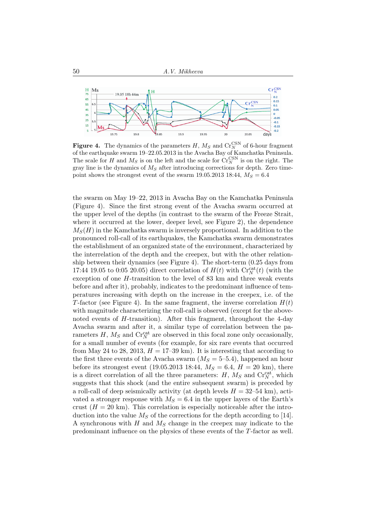

**Figure 4.** The dynamics of the parameters  $H, M_S$  and  $Cr_N^{\text{CSN}}$  of 6-hour fragment of the earthquake swarm 19–22.05.2013 in the Avacha Bay of Kamchatka Peninsula. The scale for H and  $M_S$  is on the left and the scale for  $\mathrm{Cr}_N^{\mathrm{CSN}}$  is on the right. The gray line is the dynamics of  $M<sub>S</sub>$  after introducing corrections for depth. Zero timepoint shows the strongest event of the swarm 19.05.2013 18:44,  $M_S = 6.4$ 

the swarm on May 19–22, 2013 in Avacha Bay on the Kamchatka Peninsula (Figure 4). Since the first strong event of the Avacha swarm occurred at the upper level of the depths (in contrast to the swarm of the Freeze Strait, where it occurred at the lower, deeper level, see Figure 2), the dependence  $M<sub>S</sub>(H)$  in the Kamchatka swarm is inversely proportional. In addition to the pronounced roll-call of its earthquakes, the Kamchatka swarm demonstrates the establishment of an organized state of the environment, characterized by the interrelation of the depth and the creepex, but with the other relationship between their dynamics (see Figure 4). The short-term (0.25 days from 17:44 19.05 to 0:05 20.05) direct correlation of  $H(t)$  with  $\mathrm{Cr}_N^{\mathrm{cat}}(t)$  (with the exception of one H-transition to the level of 83 km and three weak events before and after it), probably, indicates to the predominant influence of temperatures increasing with depth on the increase in the creepex, i.e. of the T-factor (see Figure 4). In the same fragment, the inverse correlation  $H(t)$ with magnitude characterizing the roll-call is observed (except for the abovenoted events of H-transition). After this fragment, throughout the 4-day Avacha swarm and after it, a similar type of correlation between the parameters  $H$ ,  $M_S$  and  $Cr_N^{\text{cat}}$  are observed in this focal zone only occasionally, for a small number of events (for example, for six rare events that occurred from May 24 to 28, 2013,  $H = 17$ –39 km). It is interesting that according to the first three events of the Avacha swarm  $(M_S = 5-5.4)$ , happened an hour before its strongest event (19.05.2013 18:44,  $M_S = 6.4$ ,  $H = 20$  km), there is a direct correlation of all the three parameters:  $H, M_S$  and  $\mathrm{Cr}_N^{\mathrm{cat}}$ , which suggests that this shock (and the entire subsequent swarm) is preceded by a roll-call of deep seismically activity (at depth levels  $H = 32{\text -}54$  km), activated a stronger response with  $M_S = 6.4$  in the upper layers of the Earth's crust  $(H = 20 \text{ km})$ . This correlation is especially noticeable after the introduction into the value  $M<sub>S</sub>$  of the corrections for the depth according to [14]. A synchronous with  $H$  and  $M<sub>S</sub>$  change in the creepex may indicate to the predominant influence on the physics of these events of the T-factor as well.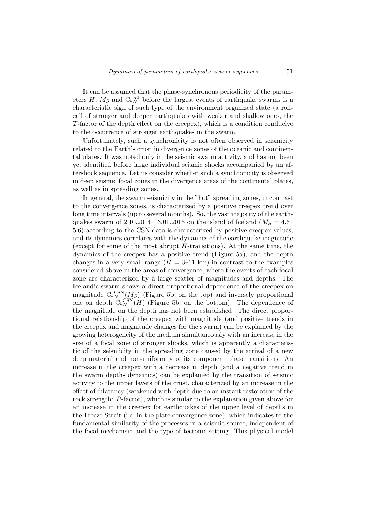It can be assumed that the phase-synchronous periodicity of the parameters  $H$ ,  $M_S$  and  $Cr_N^{\text{cat}}$  before the largest events of earthquake swarms is a characteristic sign of such type of the environment organized state (a rollcall of stronger and deeper earthquakes with weaker and shallow ones, the T-factor of the depth effect on the creepex), which is a condition conducive to the occurrence of stronger earthquakes in the swarm.

Unfortunately, such a synchronicity is not often observed in seismicity related to the Earth's crust in divergence zones of the oceanic and continental plates. It was noted only in the seismic swarm activity, and has not been yet identified before large individual seismic shocks accompanied by an aftershock sequence. Let us consider whether such a synchronicity is observed in deep seismic focal zones in the divergence areas of the continental plates, as well as in spreading zones.

In general, the swarm seismicity in the "hot" spreading zones, in contrast to the convergence zones, is characterized by a positive creepex trend over long time intervals (up to several months). So, the vast majority of the earthquakes swarm of 2.10.2014–13.01.2015 on the island of Iceland ( $M<sub>S</sub> = 4.6$ – 5.6) according to the CSN data is characterized by positive creepex values, and its dynamics correlates with the dynamics of the earthquake magnitude (except for some of the most abrupt  $H$ -transitions). At the same time, the dynamics of the creepex has a positive trend (Figure 5a), and the depth changes in a very small range  $(H = 3-11 \text{ km})$  in contrast to the examples considered above in the areas of convergence, where the events of each focal zone are characterized by a large scatter of magnitudes and depths. The Icelandic swarm shows a direct proportional dependence of the creepex on magnitude  $\mathrm{Cr}_N^{\mathrm{CNN}}(M_S)$  (Figure 5b, on the top) and inversely proportional one on depth  $\mathrm{Cr}_N^{\mathrm{CSN}}(H)$  (Figure 5b, on the bottom). The dependence of the magnitude on the depth has not been established. The direct proportional relationship of the creepex with magnitude (and positive trends in the creepex and magnitude changes for the swarm) can be explained by the growing heterogeneity of the medium simultaneously with an increase in the size of a focal zone of stronger shocks, which is apparently a characteristic of the seismicity in the spreading zone caused by the arrival of a new deep material and non-uniformity of its component phase transitions. An increase in the creepex with a decrease in depth (and a negative trend in the swarm depths dynamics) can be explained by the transition of seismic activity to the upper layers of the crust, characterized by an increase in the effect of dilatancy (weakened with depth due to an instant restoration of the rock strength: P-factor), which is similar to the explanation given above for an increase in the creepex for earthquakes of the upper level of depths in the Freeze Strait (i.e. in the plate convergence zone), which indicates to the fundamental similarity of the processes in a seismic source, independent of the focal mechanism and the type of tectonic setting. This physical model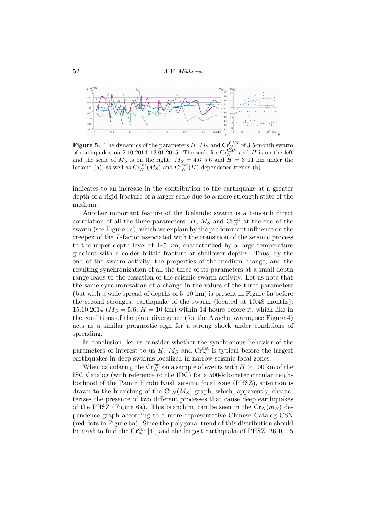

**Figure 5.** The dynamics of the parameters H,  $M_S$  and  $Cr_{\text{AN}}^{\text{CSN}}$  of 3.5-month swarm of earthquakes on 2.10.2014–13.01.2015. The scale for  $\mathrm{Cr}_N^{\mathrm{CSN}}$  and H is on the left and the scale of  $M_S$  is on the right.  $M_S = 4.6$ -5.6 and  $H = 3$ -11 km under the Iceland (a), as well as  $\mathrm{Cr}_N^{\mathrm{cat}}(M_S)$  and  $\mathrm{Cr}_N^{\mathrm{cat}}(H)$  dependence trends (b)

indicates to an increase in the contribution to the earthquake at a greater depth of a rigid fracture of a larger scale due to a more strength state of the medium.

Another important feature of the Icelandic swarm is a 1-month direct correlation of all the three parameters:  $H$ ,  $M_S$  and  $Cr_N^{\text{cat}}$  at the end of the swarm (see Figure 5a), which we explain by the predominant influence on the creepex of the T-factor associated with the transition of the seismic process to the upper depth level of 4–5 km, characterized by a large temperature gradient with a colder brittle fracture at shallower depths. Thus, by the end of the swarm activity, the properties of the medium change, and the resulting synchronization of all the three of its parameters at a small depth range leads to the cessation of the seismic swarm activity. Let us note that the same synchronization of a change in the values of the three parameters (but with a wide spread of depths of 5–10 km) is present in Figure 5a before the second strongest earthquake of the swarm (located at 10.48 months): 15.10.2014 ( $M<sub>S</sub> = 5.6$ ,  $H = 10$  km) within 14 hours before it, which like in the conditions of the plate divergence (for the Avacha swarm, see Figure 4) acts as a similar prognostic sign for a strong shock under conditions of spreading.

In conclusion, let us consider whether the synchronous behavior of the parameters of interest to us  $H$ ,  $M_S$  and  $Cr_N^{\text{cat}}$  is typical before the largest earthquakes in deep swarms localized in narrow seismic focal zones.

When calculating the  $\mathrm{Cr}_N^{\mathrm{cat}}$  on a sample of events with  $H\geq 100$  km of the ISC Catalog (with reference to the IDC) for a 500-kilometer circular neighborhood of the Pamir–Hindu Kush seismic focal zone (PHSZ), attention is drawn to the branching of the  $Cr_N(M_S)$  graph, which, apparently, characterizes the presence of two different processes that cause deep earthquakes of the PHSZ (Figure 6a). This branching can be seen in the  $Cr_N(m_B)$  dependence graph according to a more representative Chinese Catalog CSN (red dots in Figure 6a). Since the polygonal trend of this distribution should be used to find the  $\mathrm{Cr}_N^{\mathrm{cat}}$  [4], and the largest earthquake of PHSZ: 26.10.15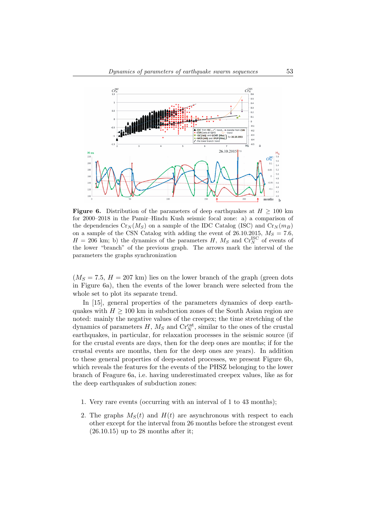

**Figure 6.** Distribution of the parameters of deep earthquakes at  $H \geq 100$  km for 2000–2018 in the Pamir–Hindu Kush seismic focal zone: a) a comparison of the dependencies  $C_{rN}(M_S)$  on a sample of the IDC Catalog (ISC) and  $C_{rN}(m_B)$ on a sample of the CSN Catalog with adding the event of 26.10.2015,  $M_S = 7.6$ ,  $H = 206$  km; b) the dynamics of the parameters H,  $M_S$  and  $Cr_S^{ISC}$  of events of the lower "branch" of the previous graph. The arrows mark the interval of the parameters the graphs synchronization

 $(M<sub>S</sub> = 7.5, H = 207$  km) lies on the lower branch of the graph (green dots in Figure 6a), then the events of the lower branch were selected from the whole set to plot its separate trend.

In [15], general properties of the parameters dynamics of deep earthquakes with  $H \geq 100$  km in subduction zones of the South Asian region are noted: mainly the negative values of the creepex; the time stretching of the dynamics of parameters  $H, M_S$  and  $\mathrm{Cr}_N^{\mathrm{cat}}$ , similar to the ones of the crustal earthquakes, in particular, for relaxation processes in the seismic source (if for the crustal events are days, then for the deep ones are months; if for the crustal events are months, then for the deep ones are years). In addition to these general properties of deep-seated processes, we present Figure 6b, which reveals the features for the events of the PHSZ belonging to the lower branch of Feagure 6a, i.e. having underestimated creepex values, like as for the deep earthquakes of subduction zones:

- 1. Very rare events (occurring with an interval of 1 to 43 months);
- 2. The graphs  $M<sub>S</sub>(t)$  and  $H(t)$  are asynchronous with respect to each other except for the interval from 26 months before the strongest event  $(26.10.15)$  up to 28 months after it;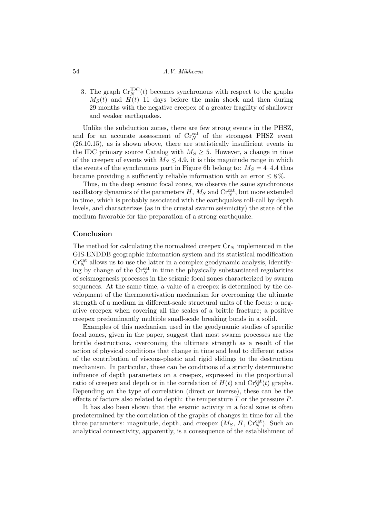3. The graph  $\mathrm{Cr}_N^{\mathrm{IDC}}(t)$  becomes synchronous with respect to the graphs  $M<sub>S</sub>(t)$  and  $H(t)$  11 days before the main shock and then during 29 months with the negative creepex of a greater fragility of shallower and weaker earthquakes.

Unlike the subduction zones, there are few strong events in the PHSZ, and for an accurate assessment of  $\mathrm{Cr}_N^{\mathrm{cat}}$  of the strongest PHSZ event (26.10.15), as is shown above, there are statistically insufficient events in the IDC primary source Catalog with  $M_S \geq 5$ . However, a change in time of the creepex of events with  $M_S \leq 4.9$ , it is this magnitude range in which the events of the synchronous part in Figure 6b belong to:  $M_s = 4-4.4$  thus became providing a sufficiently reliable information with an error  $\leq 8\%$ .

Thus, in the deep seismic focal zones, we observe the same synchronous oscillatory dynamics of the parameters  $H$ ,  $M_S$  and  $\mathrm{Cr}_N^{\mathrm{cat}},$  but more extended in time, which is probably associated with the earthquakes roll-call by depth levels, and characterizes (as in the crustal swarm seismicity) the state of the medium favorable for the preparation of a strong earthquake.

#### Conclusion

The method for calculating the normalized creepex  $C_{\text{IV}}$  implemented in the GIS-ENDDB geographic information system and its statistical modification  $\mathrm{Cr}_N^{\mathrm{cat}}$  allows us to use the latter in a complex geodynamic analysis, identifying by change of the  $\mathrm{Cr}_N^{\mathrm{cat}}$  in time the physically substantiated regularities of seismogenesis processes in the seismic focal zones characterized by swarm sequences. At the same time, a value of a creepex is determined by the development of the thermoactivation mechanism for overcoming the ultimate strength of a medium in different-scale structural units of the focus: a negative creepex when covering all the scales of a brittle fracture; a positive creepex predominantly multiple small-scale breaking bonds in a solid.

Examples of this mechanism used in the geodynamic studies of specific focal zones, given in the paper, suggest that most swarm processes are the brittle destructions, overcoming the ultimate strength as a result of the action of physical conditions that change in time and lead to different ratios of the contribution of viscous-plastic and rigid slidings to the destruction mechanism. In particular, these can be conditions of a strictly deterministic influence of depth parameters on a creepex, expressed in the proportional ratio of creepex and depth or in the correlation of  $H(t)$  and  $\mathrm{Cr}_N^{\mathrm{cat}}(t)$  graphs. Depending on the type of correlation (direct or inverse), these can be the effects of factors also related to depth: the temperature  $T$  or the pressure  $P$ .

It has also been shown that the seismic activity in a focal zone is often predetermined by the correlation of the graphs of changes in time for all the three parameters: magnitude, depth, and creepex  $(M_S, H, Cr_N^{cat})$ . Such an analytical connectivity, apparently, is a consequence of the establishment of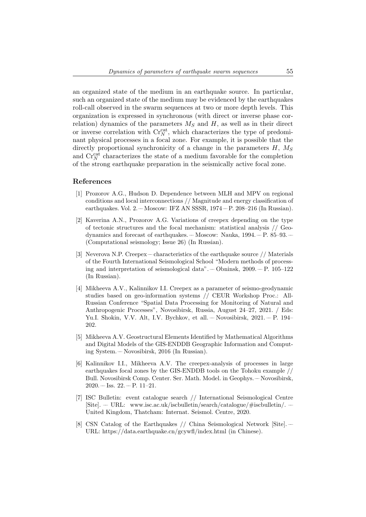an organized state of the medium in an earthquake source. In particular, such an organized state of the medium may be evidenced by the earthquakes roll-call observed in the swarm sequences at two or more depth levels. This organization is expressed in synchronous (with direct or inverse phase correlation) dynamics of the parameters  $M<sub>S</sub>$  and  $H$ , as well as in their direct or inverse correlation with  $\mathrm{Cr}_N^{\mathrm{cat}}$ , which characterizes the type of predominant physical processes in a focal zone. For example, it is possible that the directly proportional synchronicity of a change in the parameters  $H, M<sub>S</sub>$ and  $\mathrm{Cr}_N^{\mathrm{cat}}$  characterizes the state of a medium favorable for the completion of the strong earthquake preparation in the seismically active focal zone.

#### References

- [1] Prozorov A.G., Hudson D. Dependence between MLH and MPV on regional conditions and local interconnections // Magnitude and energy classification of earthquakes. Vol.  $2.$  – Moscow: IFZ AN SSSR,  $1974$  – P.  $208$  – $216$  (In Russian).
- [2] Kaverina A.N., Prozorov A.G. Variations of creepex depending on the type of tectonic structures and the focal mechanism: statistical analysis  $//$  Geodynamics and forecast of earthquakes. –– Moscow: Nauka, 1994. –– P. 85–93. –– (Computational seismology; Issue 26) (In Russian).
- [3] Neverova N.P. Creepex –– characteristics of the earthquake source // Materials of the Fourth International Seismological School "Modern methods of processing and interpretation of seismological data". – Obninsk,  $2009 - P$ . 105–122 (In Russian).
- [4] Mikheeva A.V., Kalinnikov I.I. Creepex as a parameter of seismo-geodynamic studies based on geo-information systems // CEUR Workshop Proc.: All-Russian Conference "Spatial Data Processing for Monitoring of Natural and Anthropogenic Processes", Novosibirsk, Russia, August 24–27, 2021. / Eds: Yu.I. Shokin, V.V. Alt, I.V. Bychkov, et all. –– Novosibirsk, 2021. –– P. 194– 202.
- [5] Mikheeva A.V. Geostructural Elements Identified by Mathematical Algorithms and Digital Models of the GIS-ENDDB Geographic Information and Computing System. –– Novosibirsk, 2016 (In Russian).
- [6] Kalinnikov I.I., Mikheeva A.V. The creepex-analysis of processes in large earthquakes focal zones by the GIS-ENDDB tools on the Tohoku example // Bull. Novosibirsk Comp. Center. Ser. Math. Model. in Geophys. –– Novosibirsk,  $2020 -$  Iss.  $22 - P$ .  $11-21$ .
- [7] ISC Bulletin: event catalogue search // International Seismological Centre  $[Site]$ . –– URL: www.isc.ac.uk/iscbulletin/search/catalogue/#iscbulletin/. United Kingdom, Thatcham: Internat. Seismol. Centre, 2020.
- [8] CSN Catalog of the Earthquakes // China Seismological Network [Site]. –– URL: https://data.earthquake.cn/gcywfl/index.html (in Chinese).